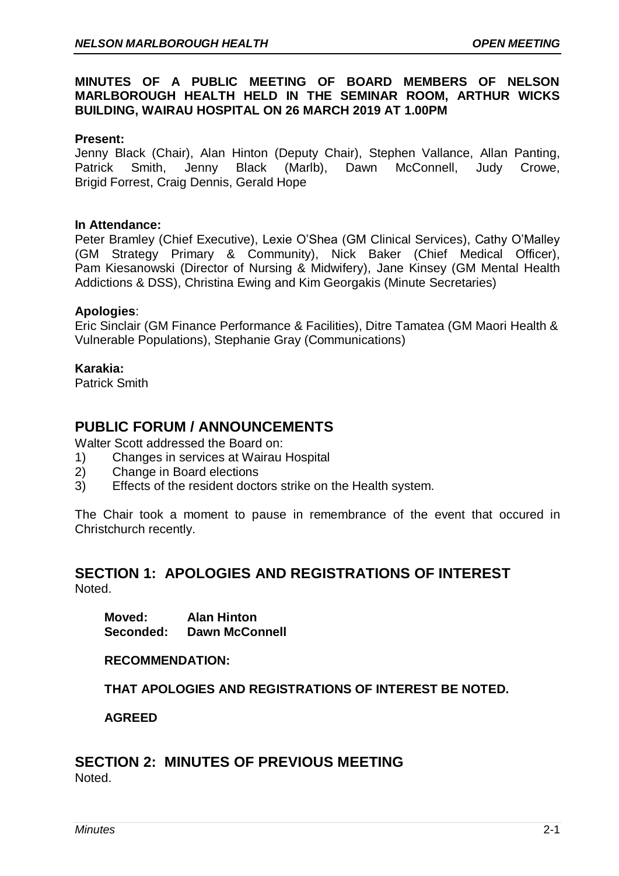### **MINUTES OF A PUBLIC MEETING OF BOARD MEMBERS OF NELSON MARLBOROUGH HEALTH HELD IN THE SEMINAR ROOM, ARTHUR WICKS BUILDING, WAIRAU HOSPITAL ON 26 MARCH 2019 AT 1.00PM**

#### **Present:**

Jenny Black (Chair), Alan Hinton (Deputy Chair), Stephen Vallance, Allan Panting, Patrick Smith, Jenny Black (Marlb), Dawn McConnell, Judy Crowe, Brigid Forrest, Craig Dennis, Gerald Hope

#### **In Attendance:**

Peter Bramley (Chief Executive), Lexie O'Shea (GM Clinical Services), Cathy O'Malley (GM Strategy Primary & Community), Nick Baker (Chief Medical Officer), Pam Kiesanowski (Director of Nursing & Midwifery), Jane Kinsey (GM Mental Health Addictions & DSS), Christina Ewing and Kim Georgakis (Minute Secretaries)

#### **Apologies**:

Eric Sinclair (GM Finance Performance & Facilities), Ditre Tamatea (GM Maori Health & Vulnerable Populations), Stephanie Gray (Communications)

### **Karakia:**

Patrick Smith

## **PUBLIC FORUM / ANNOUNCEMENTS**

Walter Scott addressed the Board on:

- 1) Changes in services at Wairau Hospital
- 2) Change in Board elections
- 3) Effects of the resident doctors strike on the Health system.

The Chair took a moment to pause in remembrance of the event that occured in Christchurch recently.

## **SECTION 1: APOLOGIES AND REGISTRATIONS OF INTEREST** Noted.

**Moved: Alan Hinton Seconded: Dawn McConnell** 

**RECOMMENDATION:** 

### **THAT APOLOGIES AND REGISTRATIONS OF INTEREST BE NOTED.**

**AGREED**

#### **SECTION 2: MINUTES OF PREVIOUS MEETING** Noted.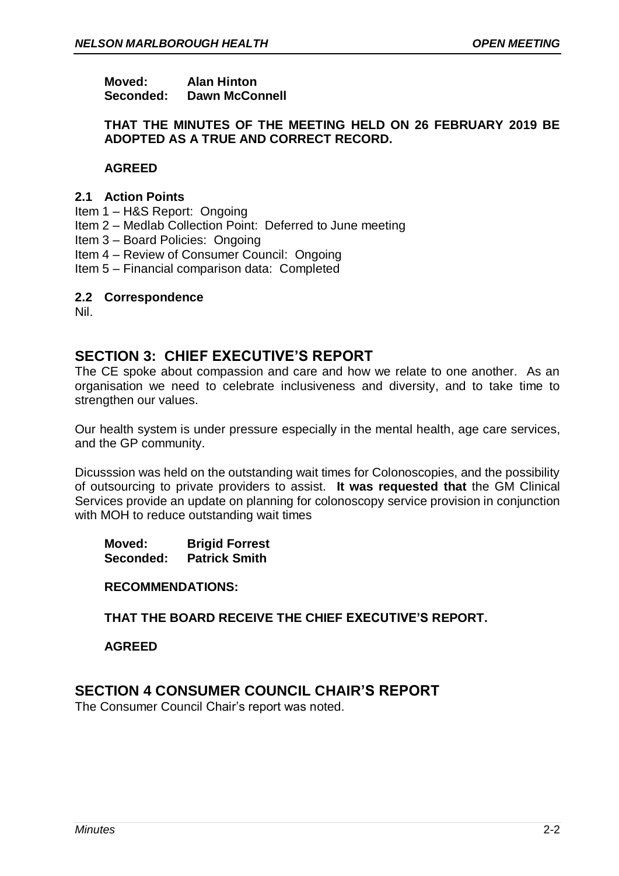**Moved: Alan Hinton Seconded: Dawn McConnell**

### **THAT THE MINUTES OF THE MEETING HELD ON 26 FEBRUARY 2019 BE ADOPTED AS A TRUE AND CORRECT RECORD.**

### **AGREED**

### **2.1 Action Points**

- Item 1 H&S Report: Ongoing
- Item 2 Medlab Collection Point: Deferred to June meeting
- Item 3 Board Policies: Ongoing
- Item 4 Review of Consumer Council: Ongoing
- Item 5 Financial comparison data: Completed

#### **2.2 Correspondence**

Nil.

## **SECTION 3: CHIEF EXECUTIVE'S REPORT**

The CE spoke about compassion and care and how we relate to one another. As an organisation we need to celebrate inclusiveness and diversity, and to take time to strengthen our values.

Our health system is under pressure especially in the mental health, age care services, and the GP community.

Dicusssion was held on the outstanding wait times for Colonoscopies, and the possibility of outsourcing to private providers to assist. **It was requested that** the GM Clinical Services provide an update on planning for colonoscopy service provision in conjunction with MOH to reduce outstanding wait times

| Moved:    | <b>Brigid Forrest</b> |
|-----------|-----------------------|
| Seconded: | <b>Patrick Smith</b>  |

#### **RECOMMENDATIONS:**

**THAT THE BOARD RECEIVE THE CHIEF EXECUTIVE'S REPORT.**

**AGREED**

## **SECTION 4 CONSUMER COUNCIL CHAIR'S REPORT**

The Consumer Council Chair's report was noted.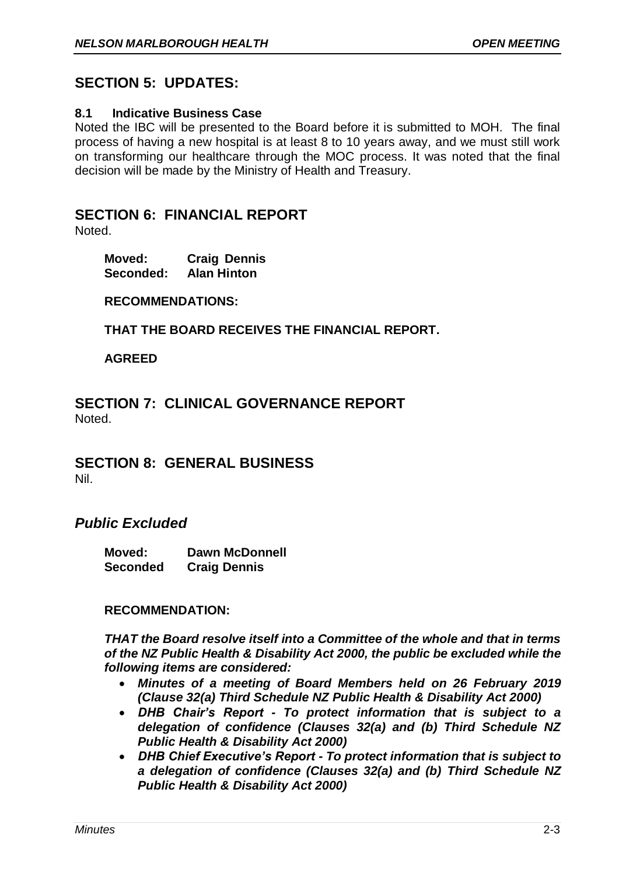# **SECTION 5: UPDATES:**

#### **8.1 Indicative Business Case**

Noted the IBC will be presented to the Board before it is submitted to MOH. The final process of having a new hospital is at least 8 to 10 years away, and we must still work on transforming our healthcare through the MOC process. It was noted that the final decision will be made by the Ministry of Health and Treasury.

## **SECTION 6: FINANCIAL REPORT**

Noted.

**Moved: Craig Dennis Seconded: Alan Hinton**

**RECOMMENDATIONS:**

**THAT THE BOARD RECEIVES THE FINANCIAL REPORT.**

**AGREED**

**SECTION 7: CLINICAL GOVERNANCE REPORT** Noted.

**SECTION 8: GENERAL BUSINESS** Nil.

## *Public Excluded*

**Moved: Dawn McDonnell Seconded Craig Dennis**

#### **RECOMMENDATION:**

*THAT the Board resolve itself into a Committee of the whole and that in terms of the NZ Public Health & Disability Act 2000, the public be excluded while the following items are considered:*

- *Minutes of a meeting of Board Members held on 26 February 2019 (Clause 32(a) Third Schedule NZ Public Health & Disability Act 2000)*
- *DHB Chair's Report - To protect information that is subject to a delegation of confidence (Clauses 32(a) and (b) Third Schedule NZ Public Health & Disability Act 2000)*
- *DHB Chief Executive's Report - To protect information that is subject to a delegation of confidence (Clauses 32(a) and (b) Third Schedule NZ Public Health & Disability Act 2000)*